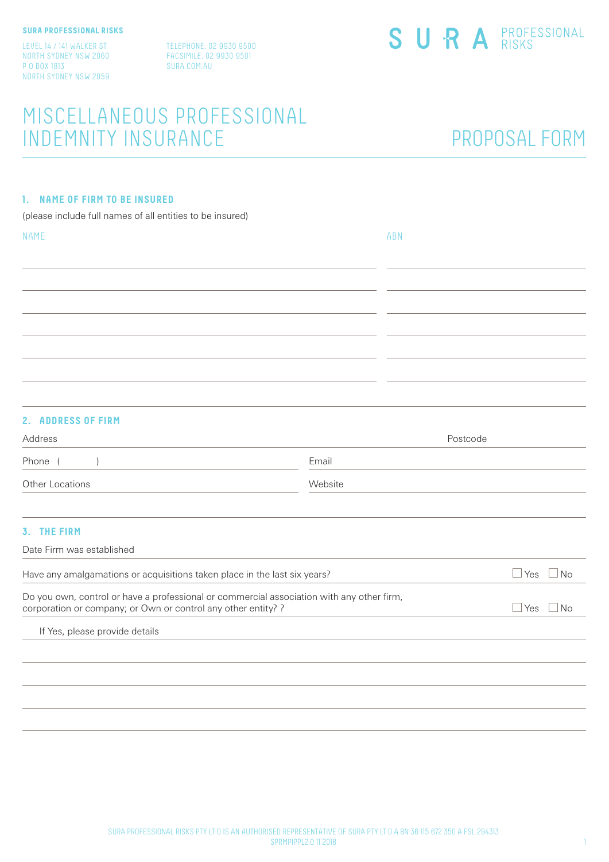LEVEL 14 / 141 WALKER ST NORTH SYDNEY NSW 2060 P O BOX 1813 NORTH SYDNEY NSW 2059 TELEPHONE. 02 9930 9500 FACSIMILE. 02 9930 9501 SURA.COM.AU

# MISCELLANEOUS PROFESSIONAL INDEMNITY INSURANCE PROPOSAL FORM

### **1. NAME OF FIRM TO BE INSURED**

(please include full names of all entities to be insured)

| <b>NAME</b> | ABN |
|-------------|-----|
|             |     |
|             |     |
|             |     |
|             |     |
|             |     |
|             |     |
|             |     |
|             |     |
|             |     |

# **2. ADDRESS OF FIRM**

| Address         | Postcode |  |  |
|-----------------|----------|--|--|
| Phone           | Email    |  |  |
| Other Locations | Website  |  |  |
|                 |          |  |  |
| __ _______      |          |  |  |

### **3. THE FIRM**

Date Firm was established

| Have any amalgamations or acquisitions taken place in the last six years?                                                                                  | Yes         |
|------------------------------------------------------------------------------------------------------------------------------------------------------------|-------------|
| Do you own, control or have a professional or commercial association with any other firm,<br>corporation or company; or Own or control any other entity? ? | Yes<br>⊟ No |
| If Yes, please provide details                                                                                                                             |             |
|                                                                                                                                                            |             |
|                                                                                                                                                            |             |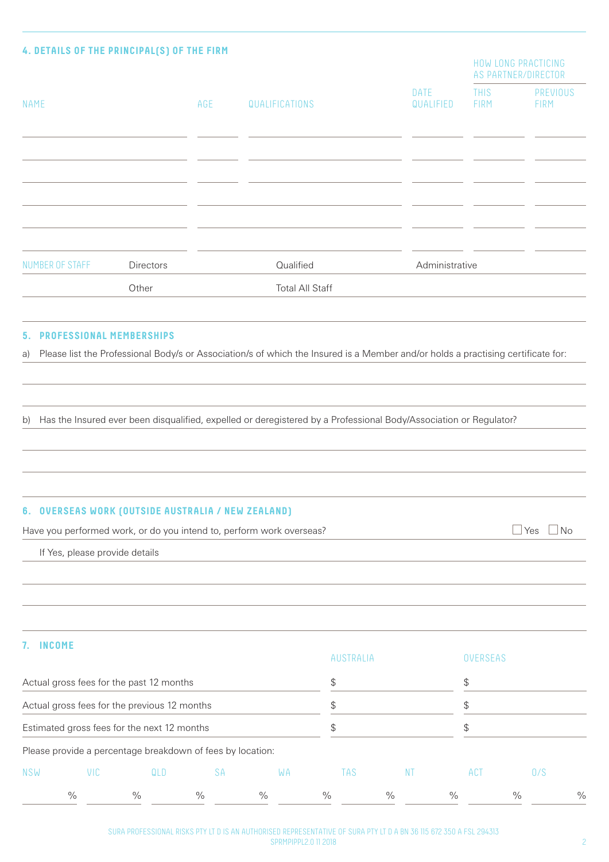|                                            | Other     |     | <b>Total All Staff</b> |                          |                            |                                            |
|--------------------------------------------|-----------|-----|------------------------|--------------------------|----------------------------|--------------------------------------------|
| NUMBER OF STAFF                            | Directors |     | Qualified              | Administrative           |                            |                                            |
|                                            |           |     |                        |                          |                            |                                            |
|                                            |           |     |                        |                          |                            |                                            |
|                                            |           |     |                        |                          |                            |                                            |
|                                            |           |     |                        |                          |                            |                                            |
|                                            |           |     |                        |                          |                            |                                            |
| <b>NAME</b>                                |           | AGE | QUALIFICATIONS         | <b>DATE</b><br>QUALIFIED | <b>THIS</b><br><b>FIRM</b> | <b>PREVIOUS</b><br>FIRM                    |
|                                            |           |     |                        |                          |                            | HOW LONG PRACTICING<br>AS PARTNER/DIRECTOR |
| 4. DETAILS OF THE PRINCIPAL(S) OF THE FIRM |           |     |                        |                          |                            |                                            |

#### **5. PROFESSIONAL MEMBERSHIPS**

a) Please list the Professional Body/s or Association/s of which the Insured is a Member and/or holds a practising certificate for:

b) Has the Insured ever been disqualified, expelled or deregistered by a Professional Body/Association or Regulator?

#### **6. OVERSEAS WORK (OUTSIDE AUSTRALIA / NEW ZEALAND)**

Have you performed work, or do you intend to, perform work overseas?  $\Box$  Yes  $\Box$  Yes  $\Box$  No

If Yes, please provide details

# **7. INCOME**

|                                                                                             |      |                                                            |           |               | <b>AUSTRALIA</b> |               | <b>OVERSEAS</b> |      |               |  |
|---------------------------------------------------------------------------------------------|------|------------------------------------------------------------|-----------|---------------|------------------|---------------|-----------------|------|---------------|--|
|                                                                                             |      | Actual gross fees for the past 12 months                   |           |               | \$               |               | \$              |      |               |  |
| Actual gross fees for the previous 12 months<br>Estimated gross fees for the next 12 months |      |                                                            |           |               |                  |               | S               |      |               |  |
|                                                                                             |      |                                                            |           |               |                  |               | \$              |      |               |  |
|                                                                                             |      | Please provide a percentage breakdown of fees by location: |           |               |                  |               |                 |      |               |  |
| <b>NSW</b>                                                                                  | VIC  | QLD                                                        | <b>SA</b> | WA            | TAS              | -N I          | ACT             | 0/S  |               |  |
|                                                                                             | $\%$ | $\frac{0}{0}$                                              | $\%$      | $\frac{0}{0}$ | $\%$             | $\frac{0}{0}$ | $\%$            | $\%$ | $\frac{0}{0}$ |  |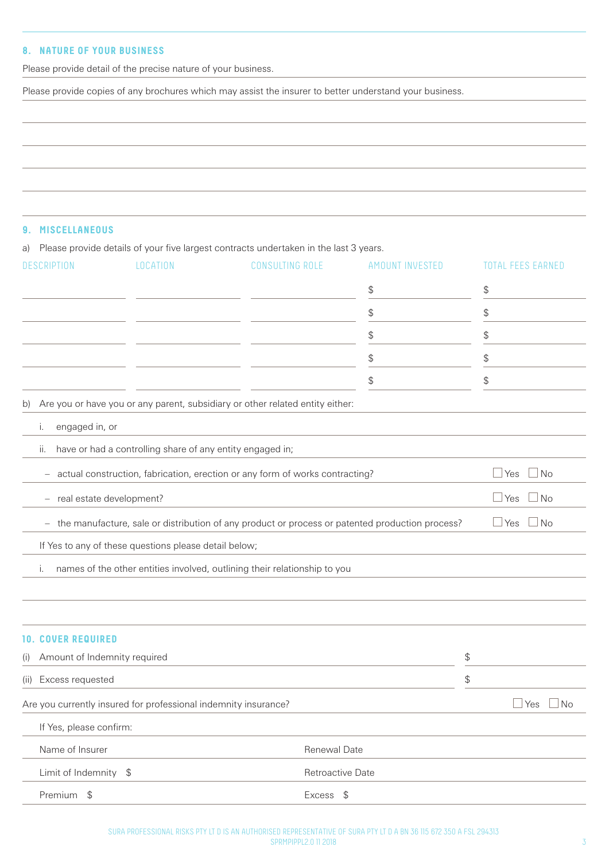# **8. NATURE OF YOUR BUSINESS**

Please provide detail of the precise nature of your business.

Please provide copies of any brochures which may assist the insurer to better understand your business.

### **9. MISCELLANEOUS**

a) Please provide details of your five largest contracts undertaken in the last 3 years.

| <b>DESCRIPTION</b>                  | LOCATION                                                        | <b>CONSULTING ROLE</b>                                                                            | AMOUNT INVESTED | <b>TOTAL FEES EARNED</b> |
|-------------------------------------|-----------------------------------------------------------------|---------------------------------------------------------------------------------------------------|-----------------|--------------------------|
|                                     |                                                                 |                                                                                                   | \$              | \$                       |
|                                     |                                                                 |                                                                                                   | \$              | \$                       |
|                                     |                                                                 |                                                                                                   | \$              | \$                       |
|                                     |                                                                 |                                                                                                   | \$              | \$                       |
|                                     |                                                                 |                                                                                                   | \$              | \$                       |
| b)                                  |                                                                 | Are you or have you or any parent, subsidiary or other related entity either:                     |                 |                          |
| engaged in, or<br>i.                |                                                                 |                                                                                                   |                 |                          |
| ii.                                 | have or had a controlling share of any entity engaged in;       |                                                                                                   |                 |                          |
| -                                   |                                                                 | actual construction, fabrication, erection or any form of works contracting?                      |                 | $\Box$ Yes<br>$\Box$ No  |
| real estate development?<br>-       |                                                                 |                                                                                                   |                 | $\Box$ Yes<br>$\Box$ No  |
|                                     |                                                                 | - the manufacture, sale or distribution of any product or process or patented production process? |                 | ⊥No<br>$\Box$ Yes        |
|                                     | If Yes to any of these questions please detail below;           |                                                                                                   |                 |                          |
| i.                                  |                                                                 | names of the other entities involved, outlining their relationship to you                         |                 |                          |
|                                     |                                                                 |                                                                                                   |                 |                          |
|                                     |                                                                 |                                                                                                   |                 |                          |
| <b>10. COVER REQUIRED</b>           |                                                                 |                                                                                                   |                 |                          |
| Amount of Indemnity required<br>(i) |                                                                 |                                                                                                   |                 | \$                       |
| (ii) Excess requested               |                                                                 |                                                                                                   |                 | \$                       |
|                                     | Are you currently insured for professional indemnity insurance? |                                                                                                   |                 | $\sqcup$ Yes<br>⊿ No     |
| If Yes, please confirm:             |                                                                 |                                                                                                   |                 |                          |
| Name of Insurer                     |                                                                 | Renewal Date                                                                                      |                 |                          |
| Limit of Indemnity \$               |                                                                 | Retroactive Date                                                                                  |                 |                          |
| Premium \$                          |                                                                 | Excess \$                                                                                         |                 |                          |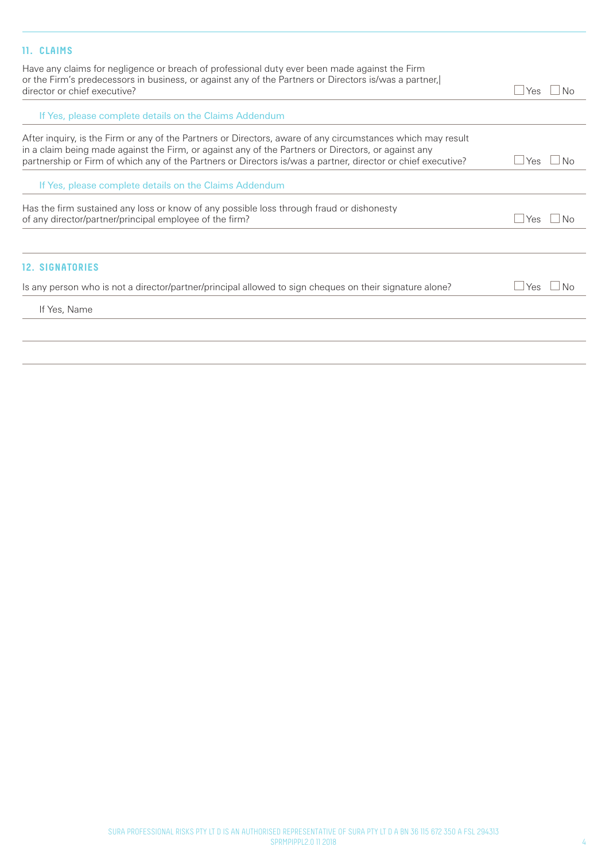# **11. CLAIMS**

Have any claims for negligence or breach of professional duty ever been made against the Firm or the Firm's predecessors in business, or against any of the Partners or Directors is/was a partner,| director or chief executive?  $\Box$  Yes  $\Box$  No

| If Yes, please complete details on the Claims Addendum                                                                                                                                                                                                                                                                             |            |
|------------------------------------------------------------------------------------------------------------------------------------------------------------------------------------------------------------------------------------------------------------------------------------------------------------------------------------|------------|
| After inguiry, is the Firm or any of the Partners or Directors, aware of any circumstances which may result<br>in a claim being made against the Firm, or against any of the Partners or Directors, or against any<br>partnership or Firm of which any of the Partners or Directors is/was a partner, director or chief executive? | Yes.       |
| If Yes, please complete details on the Claims Addendum                                                                                                                                                                                                                                                                             |            |
| Has the firm sustained any loss or know of any possible loss through fraud or dishonesty<br>of any director/partner/principal employee of the firm?                                                                                                                                                                                | Yes        |
|                                                                                                                                                                                                                                                                                                                                    |            |
| <b>12. SIGNATORIES</b>                                                                                                                                                                                                                                                                                                             |            |
| Is any person who is not a director/partner/principal allowed to sign cheques on their signature alone?                                                                                                                                                                                                                            | ⊥Yes<br>N∩ |
| If Yes, Name                                                                                                                                                                                                                                                                                                                       |            |
|                                                                                                                                                                                                                                                                                                                                    |            |
|                                                                                                                                                                                                                                                                                                                                    |            |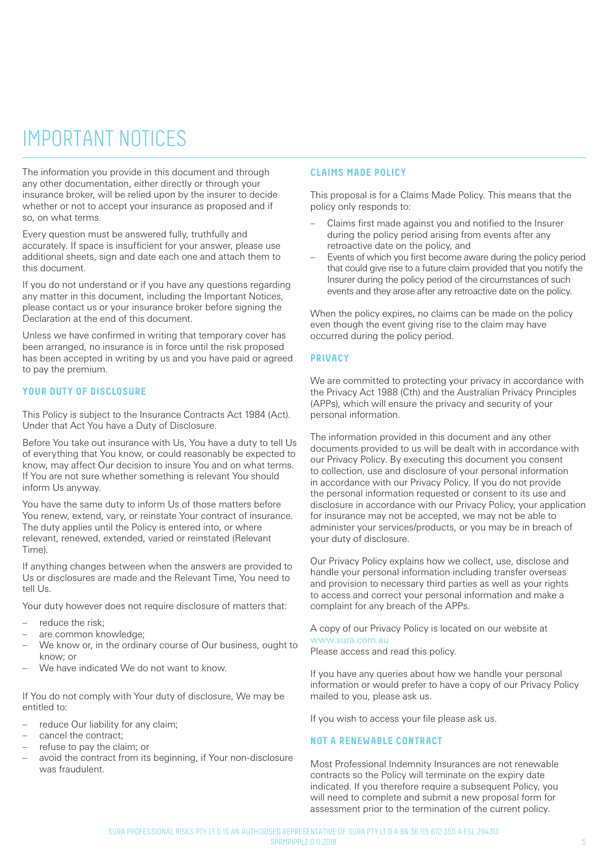# IMPORTANT NOTICES

The information you provide in this document and through any other documentation, either directly or through your insurance broker, will be relied upon by the insurer to decide whether or not to accept your insurance as proposed and if so, on what terms.

Every question must be answered fully, truthfully and accurately. If space is insufficient for your answer, please use additional sheets, sign and date each one and attach them to this document.

If you do not understand or if you have any questions regarding any matter in this document, including the Important Notices, please contact us or your insurance broker before signing the Declaration at the end of this document.

Unless we have confirmed in writing that temporary cover has been arranged, no insurance is in force until the risk proposed has been accepted in writing by us and you have paid or agreed to pay the premium.

#### **YOUR DUTY OF DISCLOSURE**

This Policy is subject to the Insurance Contracts Act 1984 (Act). Under that Act You have a Duty of Disclosure.

Before You take out insurance with Us, You have a duty to tell Us of everything that You know, or could reasonably be expected to know, may affect Our decision to insure You and on what terms. If You are not sure whether something is relevant You should inform Us anyway.

You have the same duty to inform Us of those matters before You renew, extend, vary, or reinstate Your contract of insurance. The duty applies until the Policy is entered into, or where relevant, renewed, extended, varied or reinstated (Relevant Time).

If anything changes between when the answers are provided to Us or disclosures are made and the Relevant Time, You need to tell Us.

Your duty however does not require disclosure of matters that:

- reduce the risk:
- are common knowledge;
- We know or, in the ordinary course of Our business, ought to know; or
- We have indicated We do not want to know.

If You do not comply with Your duty of disclosure, We may be entitled to:

- reduce Our liability for any claim:
- cancel the contract;
- refuse to pay the claim; or
- avoid the contract from its beginning, if Your non-disclosure was fraudulent.

#### **CLAIMS MADE POLICY**

This proposal is for a Claims Made Policy. This means that the policy only responds to:

- Claims first made against you and notified to the Insurer during the policy period arising from events after any retroactive date on the policy, and
- Events of which you first become aware during the policy period that could give rise to a future claim provided that you notify the Insurer during the policy period of the circumstances of such events and they arose after any retroactive date on the policy.

When the policy expires, no claims can be made on the policy even though the event giving rise to the claim may have occurred during the policy period.

#### **PRIVACY**

We are committed to protecting your privacy in accordance with the Privacy Act 1988 (Cth) and the Australian Privacy Principles (APPs), which will ensure the privacy and security of your personal information.

The information provided in this document and any other documents provided to us will be dealt with in accordance with our Privacy Policy. By executing this document you consent to collection, use and disclosure of your personal information in accordance with our Privacy Policy. If you do not provide the personal information requested or consent to its use and disclosure in accordance with our Privacy Policy, your application for insurance may not be accepted, we may not be able to administer your services/products, or you may be in breach of your duty of disclosure.

Our Privacy Policy explains how we collect, use, disclose and handle your personal information including transfer overseas and provision to necessary third parties as well as your rights to access and correct your personal information and make a complaint for any breach of the APPs.

A copy of our Privacy Policy is located on our website at www.sura.com.au

Please access and read this policy.

If you have any queries about how we handle your personal information or would prefer to have a copy of our Privacy Policy mailed to you, please ask us.

If you wish to access your file please ask us.

#### **NOT A RENEWABLE CONTRACT**

Most Professional Indemnity Insurances are not renewable contracts so the Policy will terminate on the expiry date indicated. If you therefore require a subsequent Policy, you will need to complete and submit a new proposal form for assessment prior to the termination of the current policy.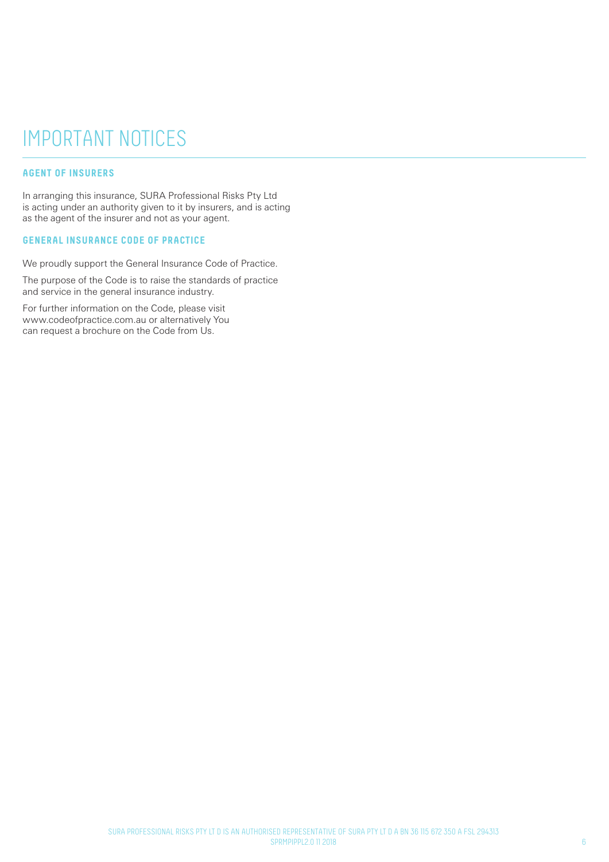# IMPORTANT NOTICES

### **AGENT OF INSURERS**

In arranging this insurance, SURA Professional Risks Pty Ltd is acting under an authority given to it by insurers, and is acting as the agent of the insurer and not as your agent.

#### **GENERAL INSURANCE CODE OF PRACTICE**

We proudly support the General Insurance Code of Practice.

The purpose of the Code is to raise the standards of practice and service in the general insurance industry.

For further information on the Code, please visit www.codeofpractice.com.au or alternatively You can request a brochure on the Code from Us.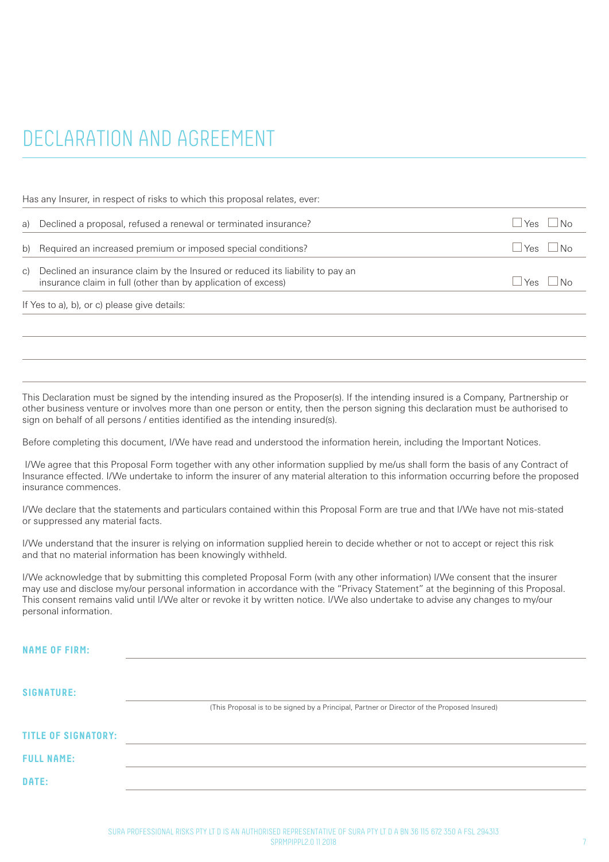# DECLARATION AND AGREEMENT

Has any Insurer, in respect of risks to which this proposal relates, ever:

| a) Declined a proposal, refused a renewal or terminated insurance?                                                                                | <b>Yes</b> | $\overline{\phantom{a}}$ No   |
|---------------------------------------------------------------------------------------------------------------------------------------------------|------------|-------------------------------|
| b) Required an increased premium or imposed special conditions?                                                                                   |            | $Y_{\text{ES}}$ $ N_{\Omega}$ |
| c) Declined an insurance claim by the Insured or reduced its liability to pay an<br>insurance claim in full (other than by application of excess) |            | $Y_{\text{ES}}$ $ N_{\Omega}$ |
|                                                                                                                                                   |            |                               |

If Yes to a), b), or c) please give details:

This Declaration must be signed by the intending insured as the Proposer(s). If the intending insured is a Company, Partnership or other business venture or involves more than one person or entity, then the person signing this declaration must be authorised to sign on behalf of all persons / entities identified as the intending insured(s).

Before completing this document, I/We have read and understood the information herein, including the Important Notices.

 I/We agree that this Proposal Form together with any other information supplied by me/us shall form the basis of any Contract of Insurance effected. I/We undertake to inform the insurer of any material alteration to this information occurring before the proposed insurance commences.

I/We declare that the statements and particulars contained within this Proposal Form are true and that I/We have not mis-stated or suppressed any material facts.

I/We understand that the insurer is relying on information supplied herein to decide whether or not to accept or reject this risk and that no material information has been knowingly withheld.

I/We acknowledge that by submitting this completed Proposal Form (with any other information) I/We consent that the insurer may use and disclose my/our personal information in accordance with the "Privacy Statement" at the beginning of this Proposal. This consent remains valid until I/We alter or revoke it by written notice. I/We also undertake to advise any changes to my/our personal information.

| <b>NAME OF FIRM:</b>       |                                                                                             |
|----------------------------|---------------------------------------------------------------------------------------------|
|                            |                                                                                             |
| <b>SIGNATURE:</b>          | (This Proposal is to be signed by a Principal, Partner or Director of the Proposed Insured) |
| <b>TITLE OF SIGNATORY:</b> |                                                                                             |
| <b>FULL NAME:</b>          |                                                                                             |
| DATE:                      |                                                                                             |